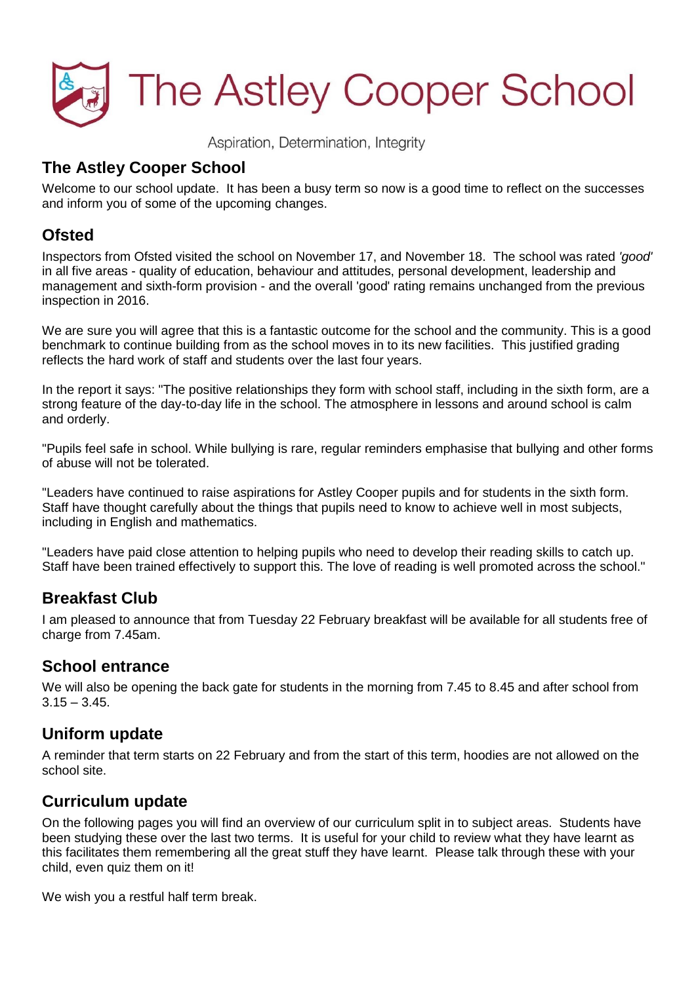

Aspiration, Determination, Integrity

### **The Astley Cooper School**

Welcome to our school update. It has been a busy term so now is a good time to reflect on the successes and inform you of some of the upcoming changes.

### **Ofsted**

Inspectors from Ofsted visited the school on November 17, and November 18. The school was rated *'good'* in all five areas - quality of education, behaviour and attitudes, personal development, leadership and management and sixth-form provision - and the overall 'good' rating remains unchanged from the previous inspection in 2016.

We are sure you will agree that this is a fantastic outcome for the school and the community. This is a good benchmark to continue building from as the school moves in to its new facilities. This justified grading reflects the hard work of staff and students over the last four years.

In the report it says: "The positive relationships they form with school staff, including in the sixth form, are a strong feature of the day-to-day life in the school. The atmosphere in lessons and around school is calm and orderly.

"Pupils feel safe in school. While bullying is rare, regular reminders emphasise that bullying and other forms of abuse will not be tolerated.

"Leaders have continued to raise aspirations for Astley Cooper pupils and for students in the sixth form. Staff have thought carefully about the things that pupils need to know to achieve well in most subjects, including in English and mathematics.

"Leaders have paid close attention to helping pupils who need to develop their reading skills to catch up. Staff have been trained effectively to support this. The love of reading is well promoted across the school."

### **Breakfast Club**

I am pleased to announce that from Tuesday 22 February breakfast will be available for all students free of charge from 7.45am.

### **School entrance**

We will also be opening the back gate for students in the morning from 7.45 to 8.45 and after school from  $3.15 - 3.45$ 

### **Uniform update**

A reminder that term starts on 22 February and from the start of this term, hoodies are not allowed on the school site.

### **Curriculum update**

On the following pages you will find an overview of our curriculum split in to subject areas. Students have been studying these over the last two terms. It is useful for your child to review what they have learnt as this facilitates them remembering all the great stuff they have learnt. Please talk through these with your child, even quiz them on it!

We wish you a restful half term break.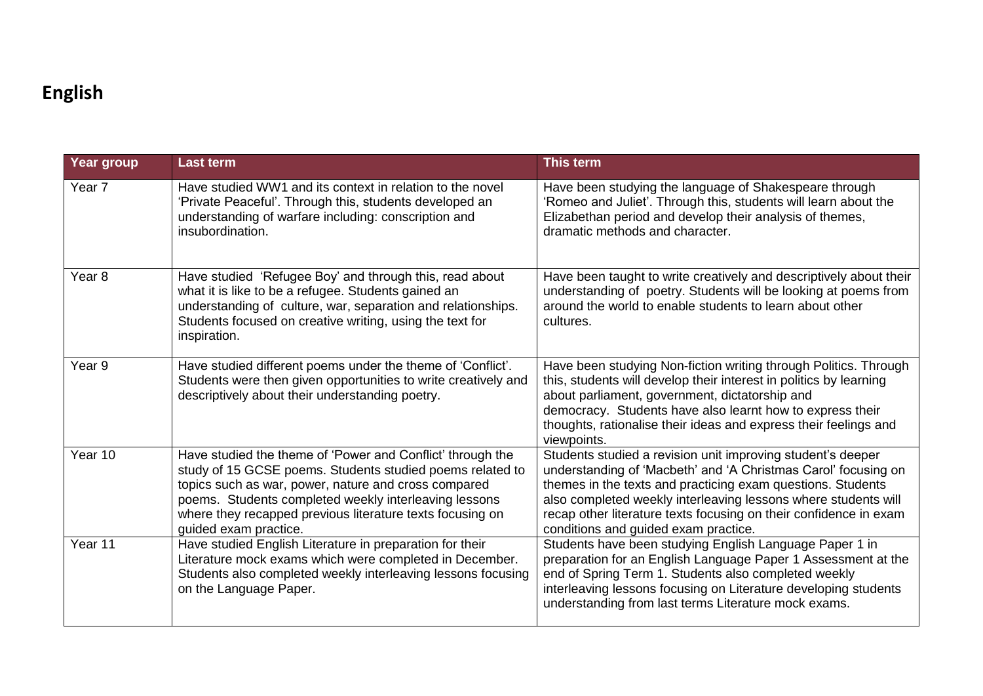# **English**

| Year group        | <b>Last term</b>                                                                                                                                                                                                                                                                                                               | This term                                                                                                                                                                                                                                                                                                                                                                   |
|-------------------|--------------------------------------------------------------------------------------------------------------------------------------------------------------------------------------------------------------------------------------------------------------------------------------------------------------------------------|-----------------------------------------------------------------------------------------------------------------------------------------------------------------------------------------------------------------------------------------------------------------------------------------------------------------------------------------------------------------------------|
| Year <sub>7</sub> | Have studied WW1 and its context in relation to the novel<br>'Private Peaceful'. Through this, students developed an<br>understanding of warfare including: conscription and<br>insubordination.                                                                                                                               | Have been studying the language of Shakespeare through<br>'Romeo and Juliet'. Through this, students will learn about the<br>Elizabethan period and develop their analysis of themes,<br>dramatic methods and character.                                                                                                                                                    |
| Year <sub>8</sub> | Have studied 'Refugee Boy' and through this, read about<br>what it is like to be a refugee. Students gained an<br>understanding of culture, war, separation and relationships.<br>Students focused on creative writing, using the text for<br>inspiration.                                                                     | Have been taught to write creatively and descriptively about their<br>understanding of poetry. Students will be looking at poems from<br>around the world to enable students to learn about other<br>cultures.                                                                                                                                                              |
| Year 9            | Have studied different poems under the theme of 'Conflict'.<br>Students were then given opportunities to write creatively and<br>descriptively about their understanding poetry.                                                                                                                                               | Have been studying Non-fiction writing through Politics. Through<br>this, students will develop their interest in politics by learning<br>about parliament, government, dictatorship and<br>democracy. Students have also learnt how to express their<br>thoughts, rationalise their ideas and express their feelings and<br>viewpoints.                                    |
| Year 10           | Have studied the theme of 'Power and Conflict' through the<br>study of 15 GCSE poems. Students studied poems related to<br>topics such as war, power, nature and cross compared<br>poems. Students completed weekly interleaving lessons<br>where they recapped previous literature texts focusing on<br>guided exam practice. | Students studied a revision unit improving student's deeper<br>understanding of 'Macbeth' and 'A Christmas Carol' focusing on<br>themes in the texts and practicing exam questions. Students<br>also completed weekly interleaving lessons where students will<br>recap other literature texts focusing on their confidence in exam<br>conditions and guided exam practice. |
| Year 11           | Have studied English Literature in preparation for their<br>Literature mock exams which were completed in December.<br>Students also completed weekly interleaving lessons focusing<br>on the Language Paper.                                                                                                                  | Students have been studying English Language Paper 1 in<br>preparation for an English Language Paper 1 Assessment at the<br>end of Spring Term 1. Students also completed weekly<br>interleaving lessons focusing on Literature developing students<br>understanding from last terms Literature mock exams.                                                                 |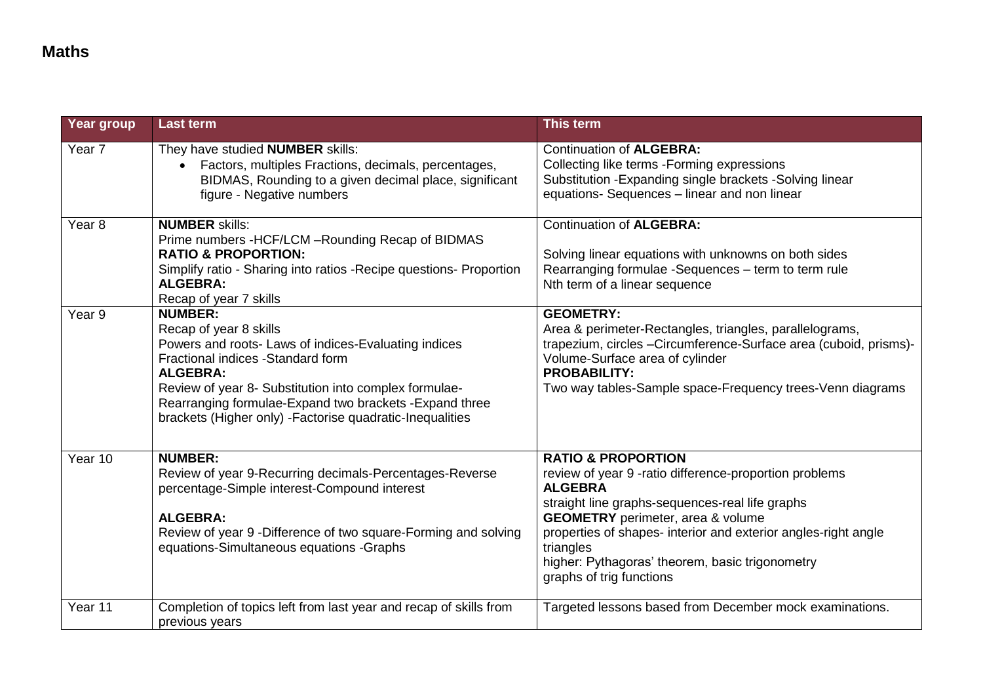| Year group | <b>Last term</b>                                                                                                                                                                                                                                                                                                                          | This term                                                                                                                                                                                                                                                                                                                                                              |
|------------|-------------------------------------------------------------------------------------------------------------------------------------------------------------------------------------------------------------------------------------------------------------------------------------------------------------------------------------------|------------------------------------------------------------------------------------------------------------------------------------------------------------------------------------------------------------------------------------------------------------------------------------------------------------------------------------------------------------------------|
| Year 7     | They have studied <b>NUMBER</b> skills:<br>Factors, multiples Fractions, decimals, percentages,<br>$\bullet$<br>BIDMAS, Rounding to a given decimal place, significant<br>figure - Negative numbers                                                                                                                                       | <b>Continuation of ALGEBRA:</b><br>Collecting like terms - Forming expressions<br>Substitution - Expanding single brackets - Solving linear<br>equations- Sequences - linear and non linear                                                                                                                                                                            |
| Year 8     | <b>NUMBER skills:</b><br>Prime numbers - HCF/LCM - Rounding Recap of BIDMAS<br><b>RATIO &amp; PROPORTION:</b><br>Simplify ratio - Sharing into ratios - Recipe questions- Proportion<br><b>ALGEBRA:</b><br>Recap of year 7 skills                                                                                                         | <b>Continuation of ALGEBRA:</b><br>Solving linear equations with unknowns on both sides<br>Rearranging formulae -Sequences - term to term rule<br>Nth term of a linear sequence                                                                                                                                                                                        |
| Year 9     | <b>NUMBER:</b><br>Recap of year 8 skills<br>Powers and roots- Laws of indices-Evaluating indices<br>Fractional indices - Standard form<br><b>ALGEBRA:</b><br>Review of year 8- Substitution into complex formulae-<br>Rearranging formulae-Expand two brackets -Expand three<br>brackets (Higher only) - Factorise quadratic-Inequalities | <b>GEOMETRY:</b><br>Area & perimeter-Rectangles, triangles, parallelograms,<br>trapezium, circles -Circumference-Surface area (cuboid, prisms)-<br>Volume-Surface area of cylinder<br><b>PROBABILITY:</b><br>Two way tables-Sample space-Frequency trees-Venn diagrams                                                                                                 |
| Year 10    | <b>NUMBER:</b><br>Review of year 9-Recurring decimals-Percentages-Reverse<br>percentage-Simple interest-Compound interest<br><b>ALGEBRA:</b><br>Review of year 9 - Difference of two square-Forming and solving<br>equations-Simultaneous equations -Graphs                                                                               | <b>RATIO &amp; PROPORTION</b><br>review of year 9 -ratio difference-proportion problems<br><b>ALGEBRA</b><br>straight line graphs-sequences-real life graphs<br><b>GEOMETRY</b> perimeter, area & volume<br>properties of shapes- interior and exterior angles-right angle<br>triangles<br>higher: Pythagoras' theorem, basic trigonometry<br>graphs of trig functions |
| Year 11    | Completion of topics left from last year and recap of skills from<br>previous years                                                                                                                                                                                                                                                       | Targeted lessons based from December mock examinations.                                                                                                                                                                                                                                                                                                                |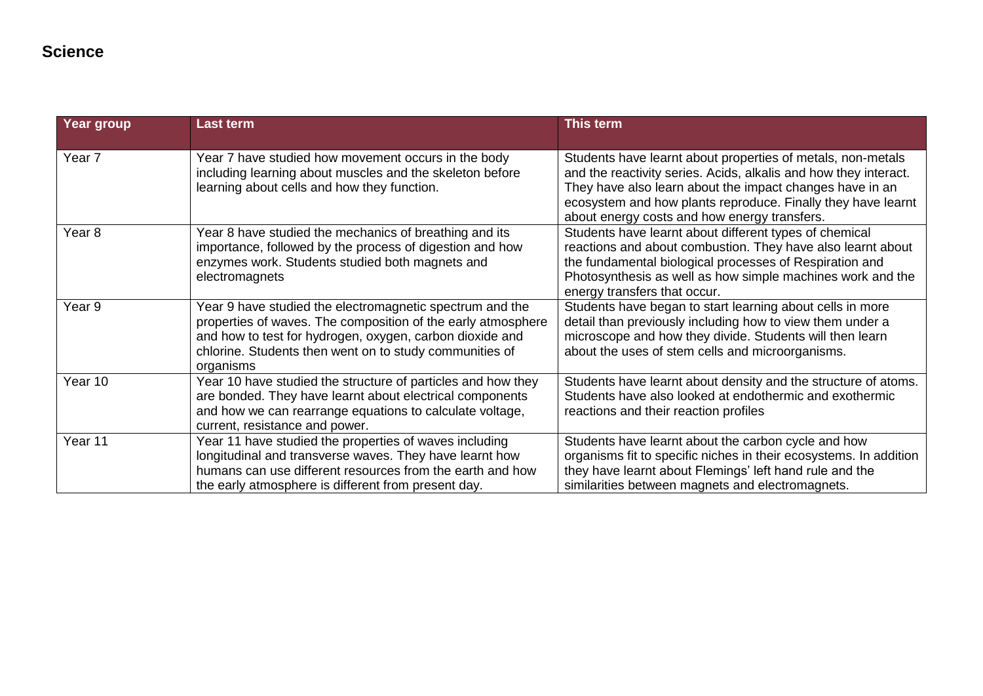## **Science**

| Year group        | <b>Last term</b>                                                                                                                                                                                                                                             | This term                                                                                                                                                                                                                                                                                                   |
|-------------------|--------------------------------------------------------------------------------------------------------------------------------------------------------------------------------------------------------------------------------------------------------------|-------------------------------------------------------------------------------------------------------------------------------------------------------------------------------------------------------------------------------------------------------------------------------------------------------------|
| Year 7            | Year 7 have studied how movement occurs in the body<br>including learning about muscles and the skeleton before<br>learning about cells and how they function.                                                                                               | Students have learnt about properties of metals, non-metals<br>and the reactivity series. Acids, alkalis and how they interact.<br>They have also learn about the impact changes have in an<br>ecosystem and how plants reproduce. Finally they have learnt<br>about energy costs and how energy transfers. |
| Year <sub>8</sub> | Year 8 have studied the mechanics of breathing and its<br>importance, followed by the process of digestion and how<br>enzymes work. Students studied both magnets and<br>electromagnets                                                                      | Students have learnt about different types of chemical<br>reactions and about combustion. They have also learnt about<br>the fundamental biological processes of Respiration and<br>Photosynthesis as well as how simple machines work and the<br>energy transfers that occur.                              |
| Year 9            | Year 9 have studied the electromagnetic spectrum and the<br>properties of waves. The composition of the early atmosphere<br>and how to test for hydrogen, oxygen, carbon dioxide and<br>chlorine. Students then went on to study communities of<br>organisms | Students have began to start learning about cells in more<br>detail than previously including how to view them under a<br>microscope and how they divide. Students will then learn<br>about the uses of stem cells and microorganisms.                                                                      |
| Year 10           | Year 10 have studied the structure of particles and how they<br>are bonded. They have learnt about electrical components<br>and how we can rearrange equations to calculate voltage,<br>current, resistance and power.                                       | Students have learnt about density and the structure of atoms.<br>Students have also looked at endothermic and exothermic<br>reactions and their reaction profiles                                                                                                                                          |
| Year 11           | Year 11 have studied the properties of waves including<br>longitudinal and transverse waves. They have learnt how<br>humans can use different resources from the earth and how<br>the early atmosphere is different from present day.                        | Students have learnt about the carbon cycle and how<br>organisms fit to specific niches in their ecosystems. In addition<br>they have learnt about Flemings' left hand rule and the<br>similarities between magnets and electromagnets.                                                                     |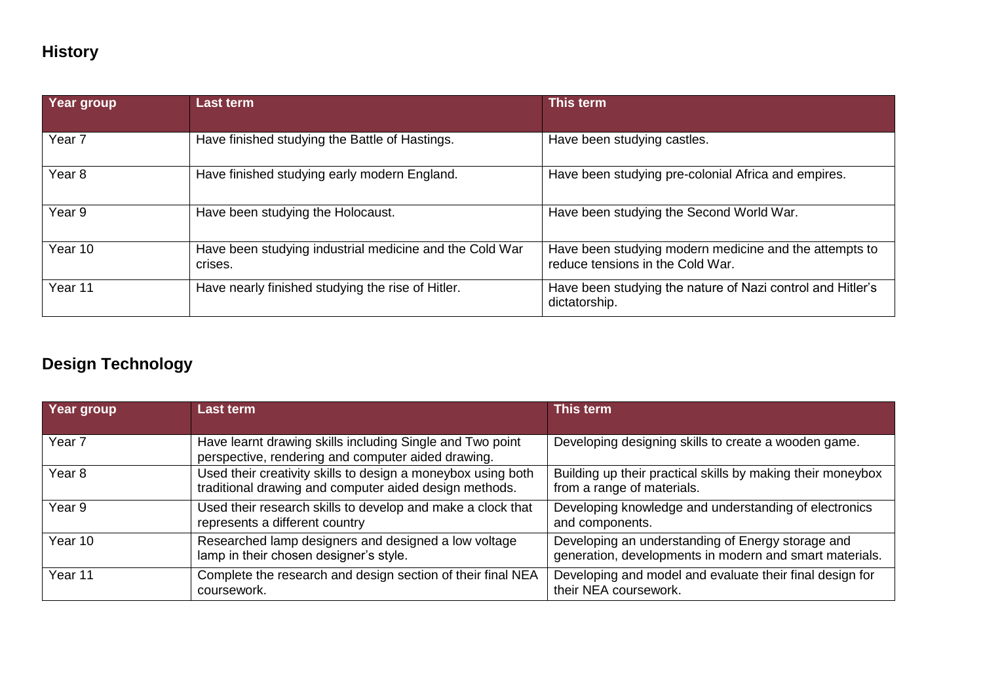# **History**

| Year group        | <b>Last term</b>                                                   | This term                                                                                  |
|-------------------|--------------------------------------------------------------------|--------------------------------------------------------------------------------------------|
| Year <sub>7</sub> | Have finished studying the Battle of Hastings.                     | Have been studying castles.                                                                |
| Year <sub>8</sub> | Have finished studying early modern England.                       | Have been studying pre-colonial Africa and empires.                                        |
| Year 9            | Have been studying the Holocaust.                                  | Have been studying the Second World War.                                                   |
| Year 10           | Have been studying industrial medicine and the Cold War<br>crises. | Have been studying modern medicine and the attempts to<br>reduce tensions in the Cold War. |
| Year 11           | Have nearly finished studying the rise of Hitler.                  | Have been studying the nature of Nazi control and Hitler's<br>dictatorship.                |

# **Design Technology**

| Year group        | <b>Last term</b>                                                                                                       | This term                                                                                                    |
|-------------------|------------------------------------------------------------------------------------------------------------------------|--------------------------------------------------------------------------------------------------------------|
| Year <sub>7</sub> | Have learnt drawing skills including Single and Two point<br>perspective, rendering and computer aided drawing.        | Developing designing skills to create a wooden game.                                                         |
| Year 8            | Used their creativity skills to design a moneybox using both<br>traditional drawing and computer aided design methods. | Building up their practical skills by making their moneybox<br>from a range of materials.                    |
| Year 9            | Used their research skills to develop and make a clock that<br>represents a different country                          | Developing knowledge and understanding of electronics<br>and components.                                     |
| Year 10           | Researched lamp designers and designed a low voltage<br>lamp in their chosen designer's style.                         | Developing an understanding of Energy storage and<br>generation, developments in modern and smart materials. |
| Year 11           | Complete the research and design section of their final NEA<br>coursework.                                             | Developing and model and evaluate their final design for<br>their NEA coursework.                            |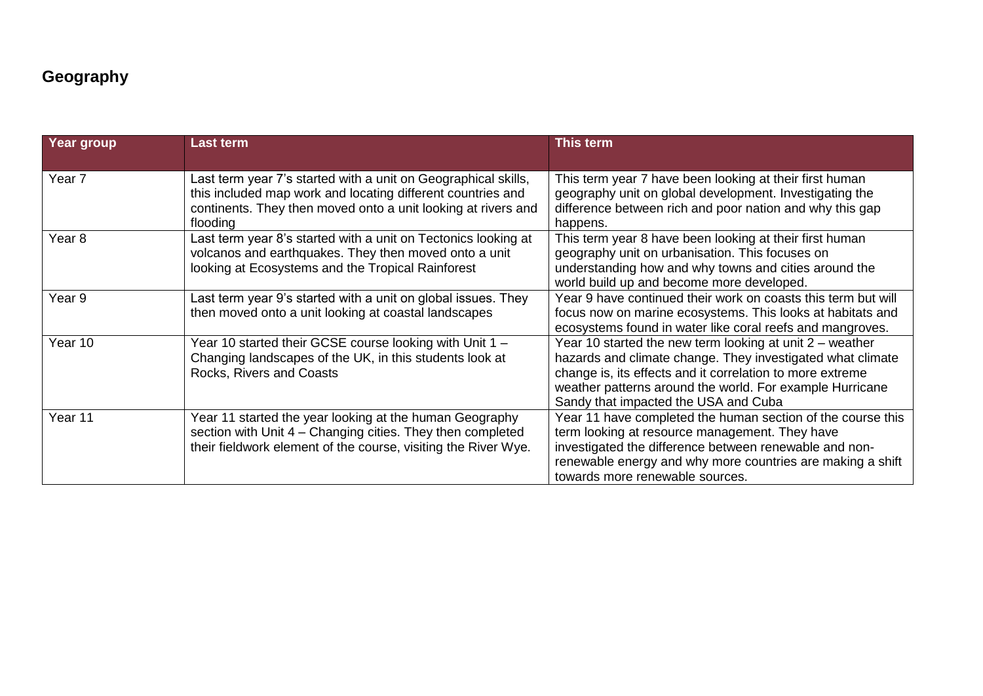## **Geography**

| Year group        | <b>Last term</b>                                                                                                                                                                                           | <b>This term</b>                                                                                                                                                                                                                                                                          |
|-------------------|------------------------------------------------------------------------------------------------------------------------------------------------------------------------------------------------------------|-------------------------------------------------------------------------------------------------------------------------------------------------------------------------------------------------------------------------------------------------------------------------------------------|
| Year <sub>7</sub> | Last term year 7's started with a unit on Geographical skills,<br>this included map work and locating different countries and<br>continents. They then moved onto a unit looking at rivers and<br>flooding | This term year 7 have been looking at their first human<br>geography unit on global development. Investigating the<br>difference between rich and poor nation and why this gap<br>happens.                                                                                                |
| Year <sub>8</sub> | Last term year 8's started with a unit on Tectonics looking at<br>volcanos and earthquakes. They then moved onto a unit<br>looking at Ecosystems and the Tropical Rainforest                               | This term year 8 have been looking at their first human<br>geography unit on urbanisation. This focuses on<br>understanding how and why towns and cities around the<br>world build up and become more developed.                                                                          |
| Year 9            | Last term year 9's started with a unit on global issues. They<br>then moved onto a unit looking at coastal landscapes                                                                                      | Year 9 have continued their work on coasts this term but will<br>focus now on marine ecosystems. This looks at habitats and<br>ecosystems found in water like coral reefs and mangroves.                                                                                                  |
| Year 10           | Year 10 started their GCSE course looking with Unit 1 -<br>Changing landscapes of the UK, in this students look at<br>Rocks, Rivers and Coasts                                                             | Year 10 started the new term looking at unit $2$ – weather<br>hazards and climate change. They investigated what climate<br>change is, its effects and it correlation to more extreme<br>weather patterns around the world. For example Hurricane<br>Sandy that impacted the USA and Cuba |
| Year 11           | Year 11 started the year looking at the human Geography<br>section with Unit 4 - Changing cities. They then completed<br>their fieldwork element of the course, visiting the River Wye.                    | Year 11 have completed the human section of the course this<br>term looking at resource management. They have<br>investigated the difference between renewable and non-<br>renewable energy and why more countries are making a shift<br>towards more renewable sources.                  |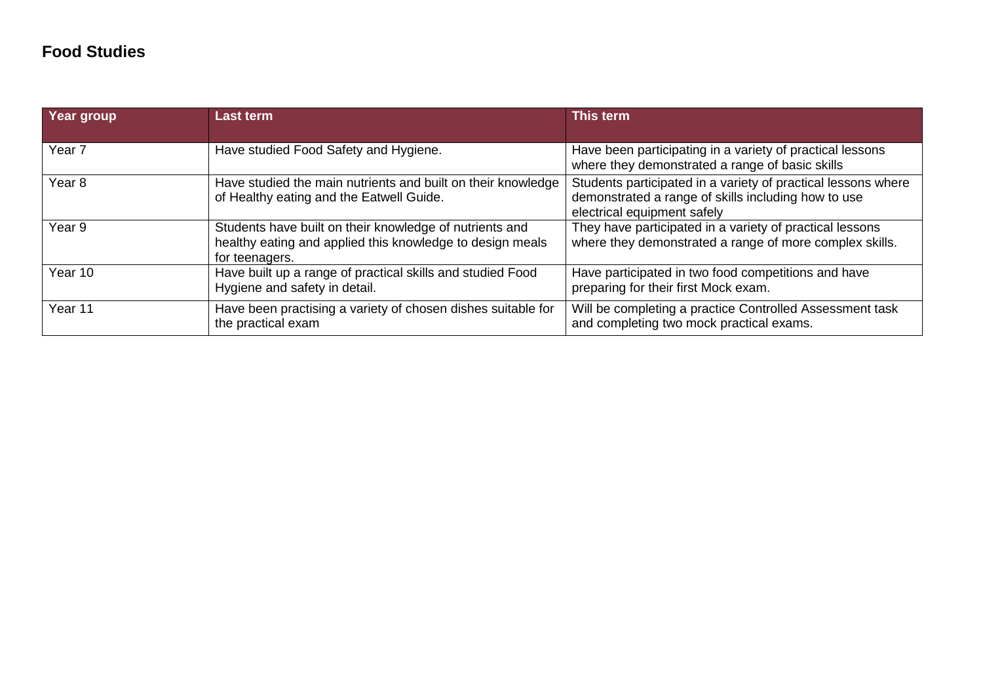## **Food Studies**

| Year group        | <b>Last term</b>                                                                                                                       | This term                                                                                                                                           |
|-------------------|----------------------------------------------------------------------------------------------------------------------------------------|-----------------------------------------------------------------------------------------------------------------------------------------------------|
| Year <sub>7</sub> | Have studied Food Safety and Hygiene.                                                                                                  | Have been participating in a variety of practical lessons<br>where they demonstrated a range of basic skills                                        |
| Year <sub>8</sub> | Have studied the main nutrients and built on their knowledge<br>of Healthy eating and the Eatwell Guide.                               | Students participated in a variety of practical lessons where<br>demonstrated a range of skills including how to use<br>electrical equipment safely |
| Year 9            | Students have built on their knowledge of nutrients and<br>healthy eating and applied this knowledge to design meals<br>for teenagers. | They have participated in a variety of practical lessons<br>where they demonstrated a range of more complex skills.                                 |
| Year 10           | Have built up a range of practical skills and studied Food<br>Hygiene and safety in detail.                                            | Have participated in two food competitions and have<br>preparing for their first Mock exam.                                                         |
| Year 11           | Have been practising a variety of chosen dishes suitable for<br>the practical exam                                                     | Will be completing a practice Controlled Assessment task<br>and completing two mock practical exams.                                                |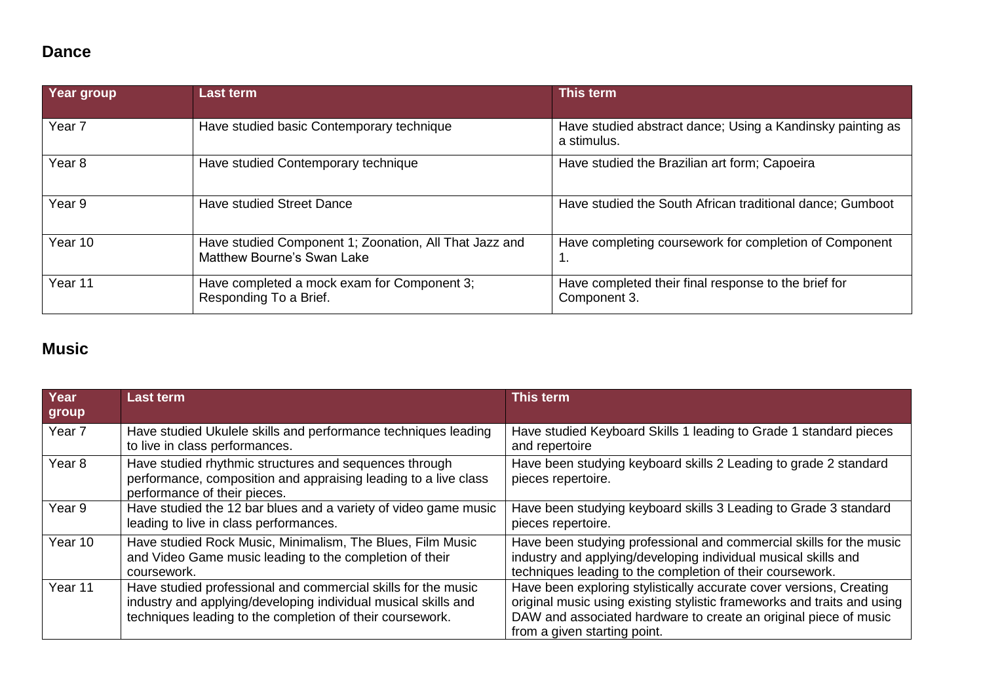### **Dance**

| Year group        | <b>Last term</b>                                                                     | This term                                                                 |
|-------------------|--------------------------------------------------------------------------------------|---------------------------------------------------------------------------|
| Year <sub>7</sub> | Have studied basic Contemporary technique                                            | Have studied abstract dance; Using a Kandinsky painting as<br>a stimulus. |
| Year <sub>8</sub> | Have studied Contemporary technique                                                  | Have studied the Brazilian art form; Capoeira                             |
| Year 9            | <b>Have studied Street Dance</b>                                                     | Have studied the South African traditional dance; Gumboot                 |
| Year 10           | Have studied Component 1; Zoonation, All That Jazz and<br>Matthew Bourne's Swan Lake | Have completing coursework for completion of Component                    |
| Year 11           | Have completed a mock exam for Component 3;<br>Responding To a Brief.                | Have completed their final response to the brief for<br>Component 3.      |

## **Music**

| Year<br>group     | <b>Last term</b>                                                                                                                                                                             | This term                                                                                                                                                                                                                                          |
|-------------------|----------------------------------------------------------------------------------------------------------------------------------------------------------------------------------------------|----------------------------------------------------------------------------------------------------------------------------------------------------------------------------------------------------------------------------------------------------|
| Year 7            | Have studied Ukulele skills and performance techniques leading<br>to live in class performances.                                                                                             | Have studied Keyboard Skills 1 leading to Grade 1 standard pieces<br>and repertoire                                                                                                                                                                |
| Year <sub>8</sub> | Have studied rhythmic structures and sequences through<br>performance, composition and appraising leading to a live class<br>performance of their pieces.                                    | Have been studying keyboard skills 2 Leading to grade 2 standard<br>pieces repertoire.                                                                                                                                                             |
| Year 9            | Have studied the 12 bar blues and a variety of video game music<br>leading to live in class performances.                                                                                    | Have been studying keyboard skills 3 Leading to Grade 3 standard<br>pieces repertoire.                                                                                                                                                             |
| Year 10           | Have studied Rock Music, Minimalism, The Blues, Film Music<br>and Video Game music leading to the completion of their<br>coursework.                                                         | Have been studying professional and commercial skills for the music<br>industry and applying/developing individual musical skills and<br>techniques leading to the completion of their coursework.                                                 |
| Year 11           | Have studied professional and commercial skills for the music<br>industry and applying/developing individual musical skills and<br>techniques leading to the completion of their coursework. | Have been exploring stylistically accurate cover versions, Creating<br>original music using existing stylistic frameworks and traits and using<br>DAW and associated hardware to create an original piece of music<br>from a given starting point. |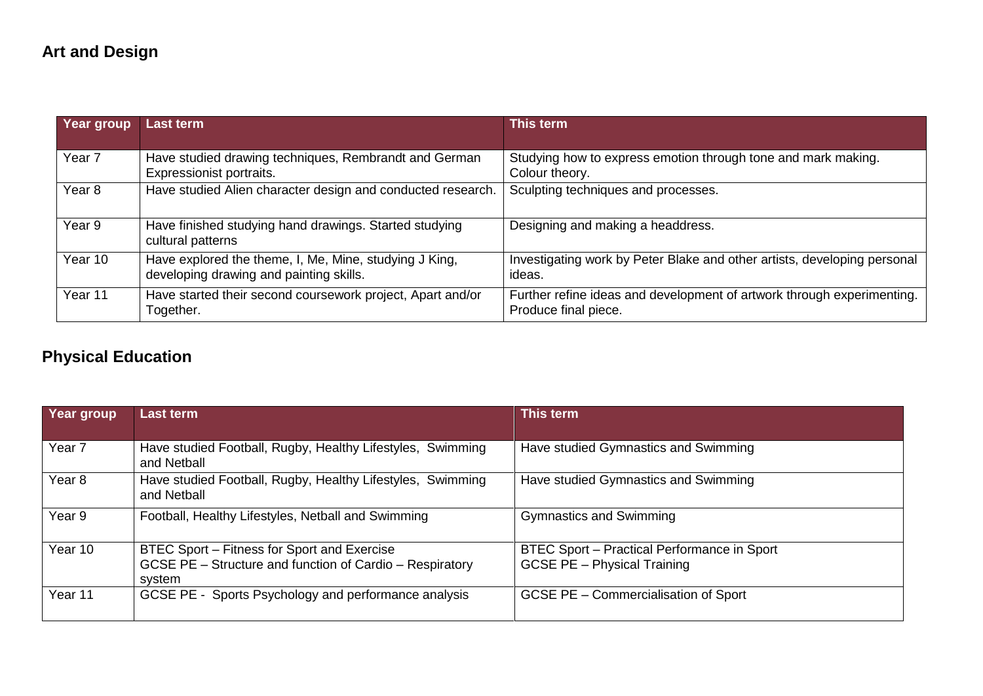# **Art and Design**

| Year group        | <b>Last term</b>                                                                                  | This term                                                                                      |
|-------------------|---------------------------------------------------------------------------------------------------|------------------------------------------------------------------------------------------------|
|                   |                                                                                                   |                                                                                                |
| Year 7            | Have studied drawing techniques, Rembrandt and German<br>Expressionist portraits.                 | Studying how to express emotion through tone and mark making.<br>Colour theory.                |
| Year <sub>8</sub> | Have studied Alien character design and conducted research.                                       | Sculpting techniques and processes.                                                            |
| Year 9            | Have finished studying hand drawings. Started studying<br>cultural patterns                       | Designing and making a headdress.                                                              |
| Year 10           | Have explored the theme, I, Me, Mine, studying J King,<br>developing drawing and painting skills. | Investigating work by Peter Blake and other artists, developing personal<br>ideas.             |
| Year 11           | Have started their second coursework project, Apart and/or<br>Together.                           | Further refine ideas and development of artwork through experimenting.<br>Produce final piece. |

# **Physical Education**

| Year group | <b>Last term</b>                                                                                                  | This term                                                                         |
|------------|-------------------------------------------------------------------------------------------------------------------|-----------------------------------------------------------------------------------|
| Year 7     | Have studied Football, Rugby, Healthy Lifestyles, Swimming<br>and Netball                                         | Have studied Gymnastics and Swimming                                              |
| Year 8     | Have studied Football, Rugby, Healthy Lifestyles, Swimming<br>and Netball                                         | Have studied Gymnastics and Swimming                                              |
| Year 9     | Football, Healthy Lifestyles, Netball and Swimming                                                                | <b>Gymnastics and Swimming</b>                                                    |
| Year 10    | BTEC Sport – Fitness for Sport and Exercise<br>GCSE PE - Structure and function of Cardio - Respiratory<br>system | BTEC Sport - Practical Performance in Sport<br><b>GCSE PE - Physical Training</b> |
| Year 11    | GCSE PE - Sports Psychology and performance analysis                                                              | <b>GCSE PE - Commercialisation of Sport</b>                                       |